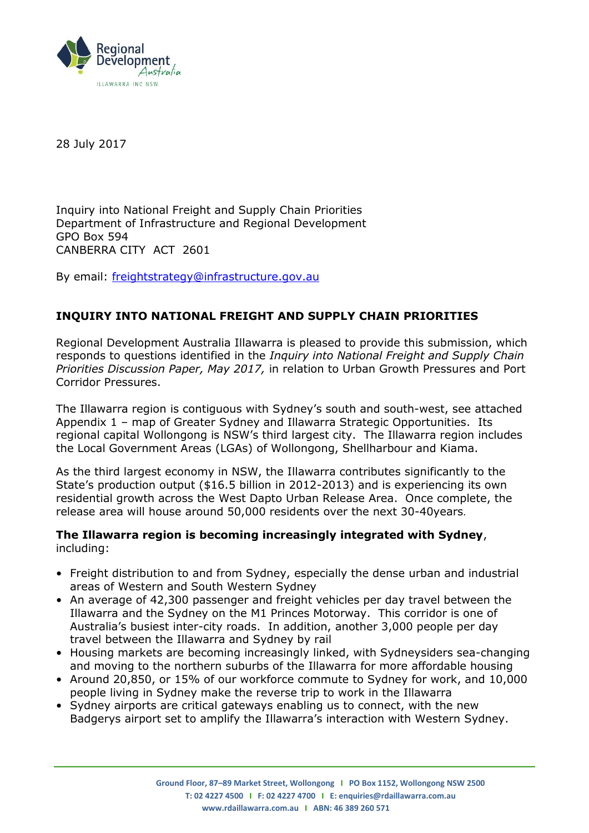

28 July 2017

Inquiry into National Freight and Supply Chain Priorities Department of Infrastructure and Regional Development GPO Box 594 CANBERRA CITY ACT 2601

By email: [freightstrategy@infrastructure.gov.au](mailto:freightstrategy@infrastructure.gov.au)

# **INQUIRY INTO NATIONAL FREIGHT AND SUPPLY CHAIN PRIORITIES**

Regional Development Australia Illawarra is pleased to provide this submission, which responds to questions identified in the *Inquiry into National Freight and Supply Chain Priorities Discussion Paper, May 2017,* in relation to Urban Growth Pressures and Port Corridor Pressures.

The Illawarra region is contiguous with Sydney's south and south-west, see attached Appendix 1 – map of Greater Sydney and Illawarra Strategic Opportunities. Its regional capital Wollongong is NSW's third largest city. The Illawarra region includes the Local Government Areas (LGAs) of Wollongong, Shellharbour and Kiama.

As the third largest economy in NSW, the Illawarra contributes significantly to the State's production output (\$16.5 billion in 2012-2013) and is experiencing its own residential growth across the West Dapto Urban Release Area. Once complete, the release area will house around 50,000 residents over the next 30-40years.

#### **The Illawarra region is becoming increasingly integrated with Sydney**, including:

- Freight distribution to and from Sydney, especially the dense urban and industrial areas of Western and South Western Sydney
- An average of 42,300 passenger and freight vehicles per day travel between the Illawarra and the Sydney on the M1 Princes Motorway. This corridor is one of Australia's busiest inter-city roads. In addition, another 3,000 people per day travel between the Illawarra and Sydney by rail
- Housing markets are becoming increasingly linked, with Sydneysiders sea-changing and moving to the northern suburbs of the Illawarra for more affordable housing
- Around 20,850, or 15% of our workforce commute to Sydney for work, and 10,000 people living in Sydney make the reverse trip to work in the Illawarra
- Sydney airports are critical gateways enabling us to connect, with the new Badgerys airport set to amplify the Illawarra's interaction with Western Sydney.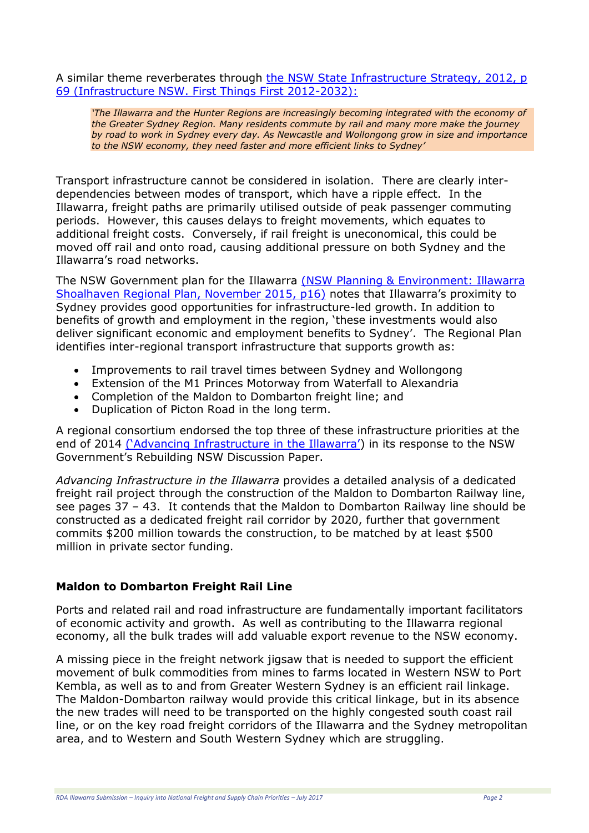A similar theme reverberates through the NSW State Infrastructure Strategy, 2012, p 69 [\(Infrastructure NSW. First Things First 2012-2032\):](http://www.infrastructure.nsw.gov.au/pdfs/SIS_Report_Complete_Print.pdf)

*'The Illawarra and the Hunter Regions are increasingly becoming integrated with the economy of the Greater Sydney Region. Many residents commute by rail and many more make the journey by road to work in Sydney every day. As Newcastle and Wollongong grow in size and importance to the NSW economy, they need faster and more efficient links to Sydney'*

Transport infrastructure cannot be considered in isolation. There are clearly interdependencies between modes of transport, which have a ripple effect. In the Illawarra, freight paths are primarily utilised outside of peak passenger commuting periods. However, this causes delays to freight movements, which equates to additional freight costs. Conversely, if rail freight is uneconomical, this could be moved off rail and onto road, causing additional pressure on both Sydney and the Illawarra's road networks.

The NSW Government plan for the Illawarra [\(NSW Planning & Environment: Illawarra](http://www.planning.nsw.gov.au/Plans-for-your-area/Regional-Plans/~/media/3316E0D25C04474AB7E4D3D6648C6B97.ashx)  [Shoalhaven Regional Plan, November 2015, p16\)](http://www.planning.nsw.gov.au/Plans-for-your-area/Regional-Plans/~/media/3316E0D25C04474AB7E4D3D6648C6B97.ashx) notes that Illawarra's proximity to Sydney provides good opportunities for infrastructure-led growth. In addition to benefits of growth and employment in the region, 'these investments would also deliver significant economic and employment benefits to Sydney'. The Regional Plan identifies inter-regional transport infrastructure that supports growth as:

- Improvements to rail travel times between Sydney and Wollongong
- Extension of the M1 Princes Motorway from Waterfall to Alexandria
- Completion of the Maldon to Dombarton freight line; and
- Duplication of Picton Road in the long term.

A regional consortium endorsed the top three of these infrastructure priorities at the end of 2014 [\('Advancing Infrastructure in the Illawarra'](http://www.rdaillawarra.com.au/assets/Australian-Infrastructure-Audit-Illawarra-Submission/IBC-and-RDA-Illawarra-Submission-to-the-Infrastructure-Audit-Appendix-2-Advancing-Infrastructure-in-the-Illawarra.pdf)) in its response to the NSW Government's Rebuilding NSW Discussion Paper.

*Advancing Infrastructure in the Illawarra* provides a detailed analysis of a dedicated freight rail project through the construction of the Maldon to Dombarton Railway line, see pages 37 – 43. It contends that the Maldon to Dombarton Railway line should be constructed as a dedicated freight rail corridor by 2020, further that government commits \$200 million towards the construction, to be matched by at least \$500 million in private sector funding.

### **Maldon to Dombarton Freight Rail Line**

Ports and related rail and road infrastructure are fundamentally important facilitators of economic activity and growth. As well as contributing to the Illawarra regional economy, all the bulk trades will add valuable export revenue to the NSW economy.

A missing piece in the freight network jigsaw that is needed to support the efficient movement of bulk commodities from mines to farms located in Western NSW to Port Kembla, as well as to and from Greater Western Sydney is an efficient rail linkage. The Maldon-Dombarton railway would provide this critical linkage, but in its absence the new trades will need to be transported on the highly congested south coast rail line, or on the key road freight corridors of the Illawarra and the Sydney metropolitan area, and to Western and South Western Sydney which are struggling.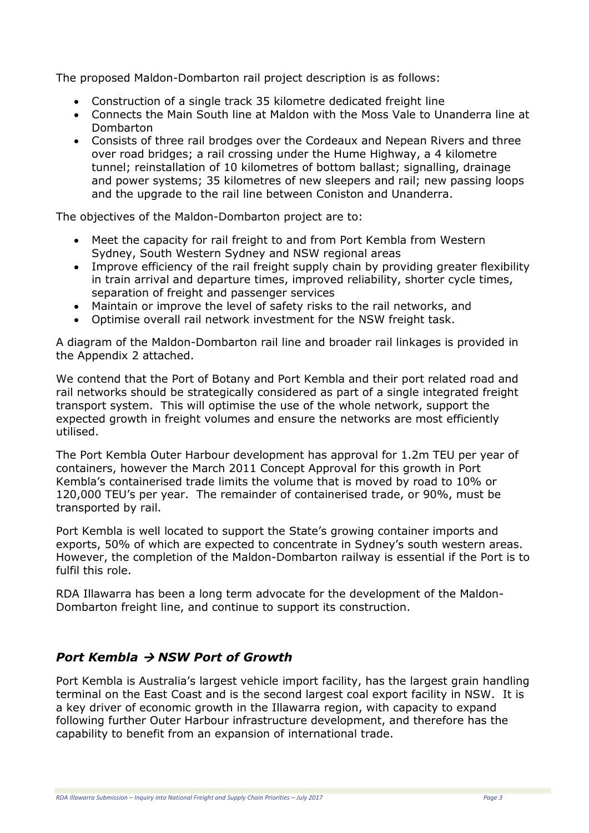The proposed Maldon-Dombarton rail project description is as follows:

- Construction of a single track 35 kilometre dedicated freight line
- Connects the Main South line at Maldon with the Moss Vale to Unanderra line at Dombarton
- Consists of three rail brodges over the Cordeaux and Nepean Rivers and three over road bridges; a rail crossing under the Hume Highway, a 4 kilometre tunnel; reinstallation of 10 kilometres of bottom ballast; signalling, drainage and power systems; 35 kilometres of new sleepers and rail; new passing loops and the upgrade to the rail line between Coniston and Unanderra.

The objectives of the Maldon-Dombarton project are to:

- Meet the capacity for rail freight to and from Port Kembla from Western Sydney, South Western Sydney and NSW regional areas
- Improve efficiency of the rail freight supply chain by providing greater flexibility in train arrival and departure times, improved reliability, shorter cycle times, separation of freight and passenger services
- Maintain or improve the level of safety risks to the rail networks, and
- Optimise overall rail network investment for the NSW freight task.

A diagram of the Maldon-Dombarton rail line and broader rail linkages is provided in the Appendix 2 attached.

We contend that the Port of Botany and Port Kembla and their port related road and rail networks should be strategically considered as part of a single integrated freight transport system. This will optimise the use of the whole network, support the expected growth in freight volumes and ensure the networks are most efficiently utilised.

The Port Kembla Outer Harbour development has approval for 1.2m TEU per year of containers, however the March 2011 Concept Approval for this growth in Port Kembla's containerised trade limits the volume that is moved by road to 10% or 120,000 TEU's per year. The remainder of containerised trade, or 90%, must be transported by rail.

Port Kembla is well located to support the State's growing container imports and exports, 50% of which are expected to concentrate in Sydney's south western areas. However, the completion of the Maldon-Dombarton railway is essential if the Port is to fulfil this role.

RDA Illawarra has been a long term advocate for the development of the Maldon-Dombarton freight line, and continue to support its construction.

# *Port Kembla → NSW Port of Growth*

Port Kembla is Australia's largest vehicle import facility, has the largest grain handling terminal on the East Coast and is the second largest coal export facility in NSW. It is a key driver of economic growth in the Illawarra region, with capacity to expand following further Outer Harbour infrastructure development, and therefore has the capability to benefit from an expansion of international trade.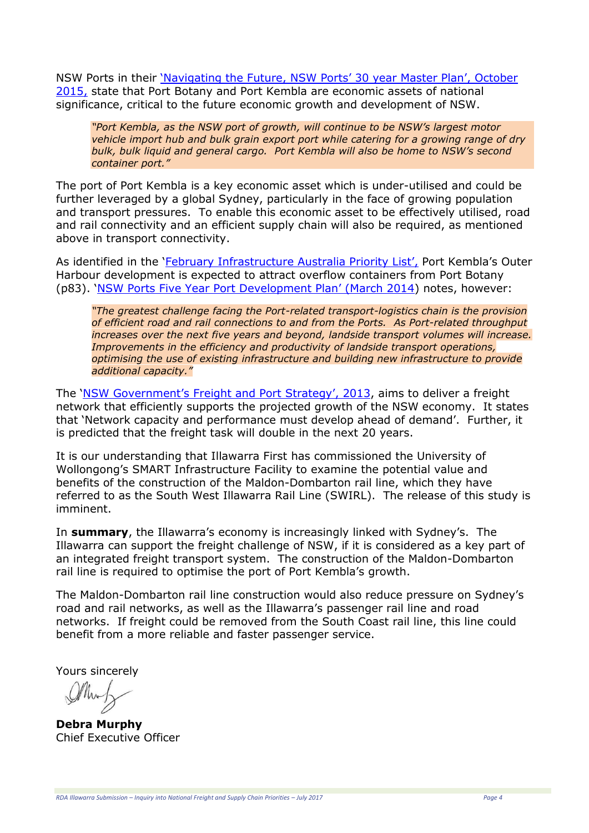NSW Ports in their ['Navigating the Future, NSW Ports' 30 year Master Plan', October](http://www.nswports.com.au/assets/Publications/NSW-Ports-Master-Plan-2015.pdf)  [2015,](http://www.nswports.com.au/assets/Publications/NSW-Ports-Master-Plan-2015.pdf) state that Port Botany and Port Kembla are economic assets of national significance, critical to the future economic growth and development of NSW.

*"Port Kembla, as the NSW port of growth, will continue to be NSW's largest motor vehicle import hub and bulk grain export port while catering for a growing range of dry bulk, bulk liquid and general cargo. Port Kembla will also be home to NSW's second container port."*

The port of Port Kembla is a key economic asset which is under-utilised and could be further leveraged by a global Sydney, particularly in the face of growing population and transport pressures. To enable this economic asset to be effectively utilised, road and rail connectivity and an efficient supply chain will also be required, as mentioned above in transport connectivity.

As identified in the '[February Infrastructure Australia Priority L](http://infrastructureaustralia.gov.au/projects/files/IPL_170225.pdf)ist', Port Kembla's Outer Harbour development is expected to attract overflow containers from Port Botany (p83). 'NSW Ports Five Y[ear Port Development Plan' \(March 2014](http://www.nswports.com.au/assets/Publications/NSW-Ports-Five-Year-Port-Development-Plan-March-2014-Final.pdf)) notes, however:

*"The greatest challenge facing the Port-related transport-logistics chain is the provision of efficient road and rail connections to and from the Ports. As Port-related throughput increases over the next five years and beyond, landside transport volumes will increase. Improvements in the efficiency and productivity of landside transport operations, optimising the use of existing infrastructure and building new infrastructure to provide additional capacity."* 

The ['NSW Government's Freight and Port Strategy', 2013](https://www.freight.transport.nsw.gov.au/sites/default/files/uploads/NSW_Freight_and_Ports_Strategy-Full_Strategy-High_Resolution.pdf), aims to deliver a freight network that efficiently supports the projected growth of the NSW economy. It states that 'Network capacity and performance must develop ahead of demand'. Further, it is predicted that the freight task will double in the next 20 years.

It is our understanding that Illawarra First has commissioned the University of Wollongong's SMART Infrastructure Facility to examine the potential value and benefits of the construction of the Maldon-Dombarton rail line, which they have referred to as the South West Illawarra Rail Line (SWIRL). The release of this study is imminent.

In **summary**, the Illawarra's economy is increasingly linked with Sydney's. The Illawarra can support the freight challenge of NSW, if it is considered as a key part of an integrated freight transport system. The construction of the Maldon-Dombarton rail line is required to optimise the port of Port Kembla's growth.

The Maldon-Dombarton rail line construction would also reduce pressure on Sydney's road and rail networks, as well as the Illawarra's passenger rail line and road networks. If freight could be removed from the South Coast rail line, this line could benefit from a more reliable and faster passenger service.

Yours sincerely

**Debra Murphy** Chief Executive Officer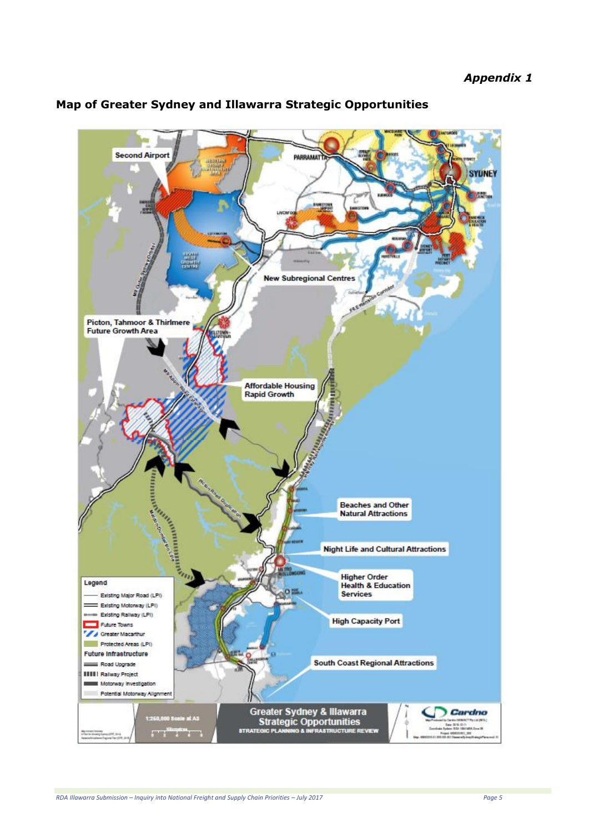

#### **Map of Greater Sydney and Illawarra Strategic Opportunities**